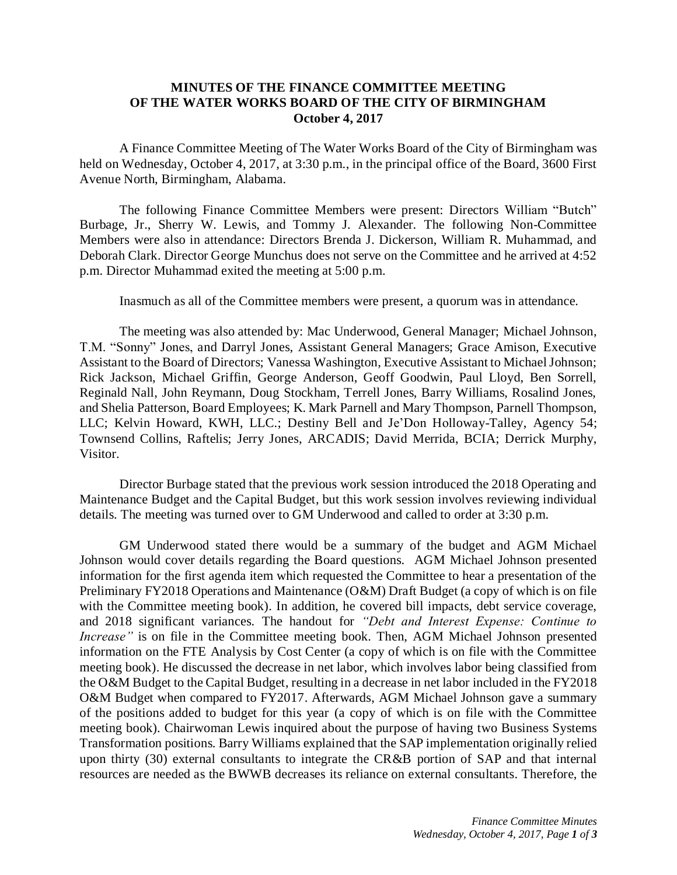## **MINUTES OF THE FINANCE COMMITTEE MEETING OF THE WATER WORKS BOARD OF THE CITY OF BIRMINGHAM October 4, 2017**

A Finance Committee Meeting of The Water Works Board of the City of Birmingham was held on Wednesday, October 4, 2017, at 3:30 p.m., in the principal office of the Board, 3600 First Avenue North, Birmingham, Alabama.

The following Finance Committee Members were present: Directors William "Butch" Burbage, Jr., Sherry W. Lewis, and Tommy J. Alexander. The following Non-Committee Members were also in attendance: Directors Brenda J. Dickerson, William R. Muhammad, and Deborah Clark. Director George Munchus does not serve on the Committee and he arrived at 4:52 p.m. Director Muhammad exited the meeting at 5:00 p.m.

Inasmuch as all of the Committee members were present, a quorum was in attendance.

The meeting was also attended by: Mac Underwood, General Manager; Michael Johnson, T.M. "Sonny" Jones, and Darryl Jones, Assistant General Managers; Grace Amison, Executive Assistant to the Board of Directors; Vanessa Washington, Executive Assistant to Michael Johnson; Rick Jackson, Michael Griffin, George Anderson, Geoff Goodwin, Paul Lloyd, Ben Sorrell, Reginald Nall, John Reymann, Doug Stockham, Terrell Jones, Barry Williams, Rosalind Jones, and Shelia Patterson, Board Employees; K. Mark Parnell and Mary Thompson, Parnell Thompson, LLC; Kelvin Howard, KWH, LLC.; Destiny Bell and Je'Don Holloway-Talley, Agency 54; Townsend Collins, Raftelis; Jerry Jones, ARCADIS; David Merrida, BCIA; Derrick Murphy, Visitor.

Director Burbage stated that the previous work session introduced the 2018 Operating and Maintenance Budget and the Capital Budget, but this work session involves reviewing individual details. The meeting was turned over to GM Underwood and called to order at 3:30 p.m.

GM Underwood stated there would be a summary of the budget and AGM Michael Johnson would cover details regarding the Board questions. AGM Michael Johnson presented information for the first agenda item which requested the Committee to hear a presentation of the Preliminary FY2018 Operations and Maintenance (O&M) Draft Budget (a copy of which is on file with the Committee meeting book). In addition, he covered bill impacts, debt service coverage, and 2018 significant variances. The handout for *"Debt and Interest Expense: Continue to Increase*" is on file in the Committee meeting book. Then, AGM Michael Johnson presented information on the FTE Analysis by Cost Center (a copy of which is on file with the Committee meeting book). He discussed the decrease in net labor, which involves labor being classified from the O&M Budget to the Capital Budget, resulting in a decrease in net labor included in the FY2018 O&M Budget when compared to FY2017. Afterwards, AGM Michael Johnson gave a summary of the positions added to budget for this year (a copy of which is on file with the Committee meeting book). Chairwoman Lewis inquired about the purpose of having two Business Systems Transformation positions. Barry Williams explained that the SAP implementation originally relied upon thirty (30) external consultants to integrate the CR&B portion of SAP and that internal resources are needed as the BWWB decreases its reliance on external consultants. Therefore, the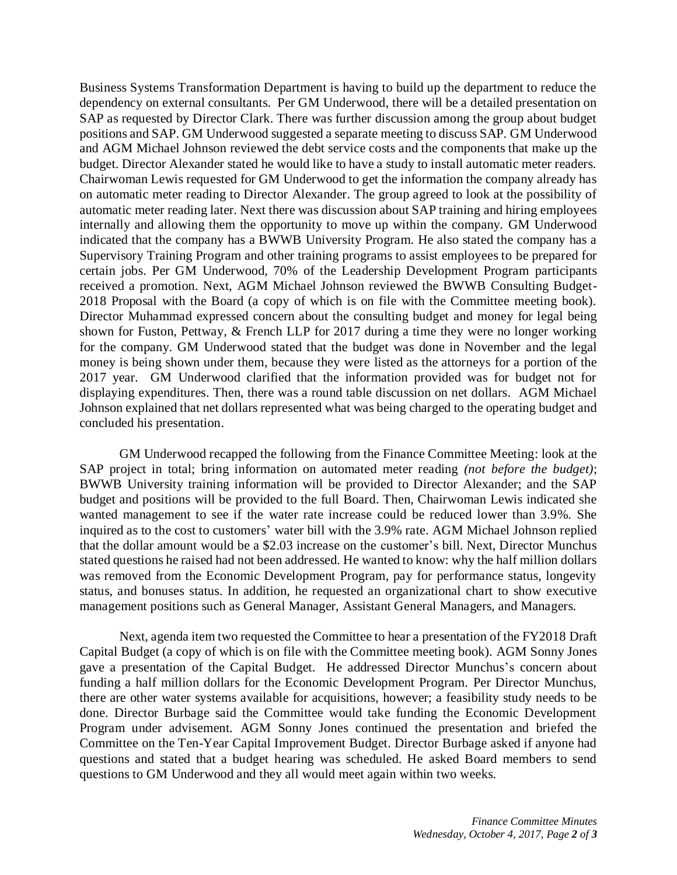Business Systems Transformation Department is having to build up the department to reduce the dependency on external consultants. Per GM Underwood, there will be a detailed presentation on SAP as requested by Director Clark. There was further discussion among the group about budget positions and SAP. GM Underwood suggested a separate meeting to discuss SAP. GM Underwood and AGM Michael Johnson reviewed the debt service costs and the components that make up the budget. Director Alexander stated he would like to have a study to install automatic meter readers. Chairwoman Lewis requested for GM Underwood to get the information the company already has on automatic meter reading to Director Alexander. The group agreed to look at the possibility of automatic meter reading later. Next there was discussion about SAP training and hiring employees internally and allowing them the opportunity to move up within the company. GM Underwood indicated that the company has a BWWB University Program. He also stated the company has a Supervisory Training Program and other training programs to assist employees to be prepared for certain jobs. Per GM Underwood, 70% of the Leadership Development Program participants received a promotion. Next, AGM Michael Johnson reviewed the BWWB Consulting Budget-2018 Proposal with the Board (a copy of which is on file with the Committee meeting book). Director Muhammad expressed concern about the consulting budget and money for legal being shown for Fuston, Pettway, & French LLP for 2017 during a time they were no longer working for the company. GM Underwood stated that the budget was done in November and the legal money is being shown under them, because they were listed as the attorneys for a portion of the 2017 year. GM Underwood clarified that the information provided was for budget not for displaying expenditures. Then, there was a round table discussion on net dollars. AGM Michael Johnson explained that net dollars represented what was being charged to the operating budget and concluded his presentation.

GM Underwood recapped the following from the Finance Committee Meeting: look at the SAP project in total; bring information on automated meter reading *(not before the budget)*; BWWB University training information will be provided to Director Alexander; and the SAP budget and positions will be provided to the full Board. Then, Chairwoman Lewis indicated she wanted management to see if the water rate increase could be reduced lower than 3.9%. She inquired as to the cost to customers' water bill with the 3.9% rate. AGM Michael Johnson replied that the dollar amount would be a \$2.03 increase on the customer's bill. Next, Director Munchus stated questions he raised had not been addressed. He wanted to know: why the half million dollars was removed from the Economic Development Program, pay for performance status, longevity status, and bonuses status. In addition, he requested an organizational chart to show executive management positions such as General Manager, Assistant General Managers, and Managers.

Next, agenda item two requested the Committee to hear a presentation of the FY2018 Draft Capital Budget (a copy of which is on file with the Committee meeting book). AGM Sonny Jones gave a presentation of the Capital Budget. He addressed Director Munchus's concern about funding a half million dollars for the Economic Development Program. Per Director Munchus, there are other water systems available for acquisitions, however; a feasibility study needs to be done. Director Burbage said the Committee would take funding the Economic Development Program under advisement. AGM Sonny Jones continued the presentation and briefed the Committee on the Ten-Year Capital Improvement Budget. Director Burbage asked if anyone had questions and stated that a budget hearing was scheduled. He asked Board members to send questions to GM Underwood and they all would meet again within two weeks.